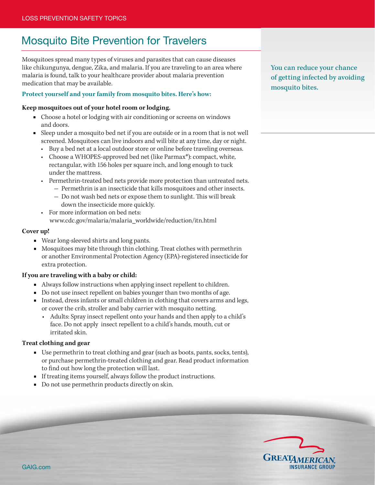# Mosquito Bite Prevention for Travelers

Mosquitoes spread many types of viruses and parasites that can cause diseases like chikungunya, dengue, Zika, and malaria. If you are traveling to an area where malaria is found, talk to your healthcare provider about malaria prevention medication that may be available.

# **Protect yourself and your family from mosquito bites. Here's how:**

#### **Keep mosquitoes out of your hotel room or lodging.**

- Choose a hotel or lodging with air conditioning or screens on windows and doors.
- Sleep under a mosquito bed net if you are outside or in a room that is not well screened. Mosquitoes can live indoors and will bite at any time, day or night.
	- Buy a bed net at a local outdoor store or online before traveling overseas.
	- Choose a WHOPES-approved bed net (like Parmax<sup>\*</sup>): compact, white, rectangular, with 156 holes per square inch, and long enough to tuck under the mattress.
	- Permethrin-treated bed nets provide more protection than untreated nets.
		- Permethrin is an insecticide that kills mosquitoes and other insects. - Do not wash bed nets or expose them to sunlight. This will break
		- down the insecticide more quickly.
	- For more information on bed nets:
		- www.cdc.gov/malaria/malaria\_worldwide/reduction/itn.html

# **Cover up!**

- Wear long-sleeved shirts and long pants.
- Mosquitoes may bite through thin clothing. Treat clothes with permethrin or another Environmental Protection Agency (EPA)-registered insecticide for extra protection.

# **If you are traveling with a baby or child:**

- Always follow instructions when applying insect repellent to children.
- Do not use insect repellent on babies younger than two months of age.
- Instead, dress infants or small children in clothing that covers arms and legs, or cover the crib, stroller and baby carrier with mosquito netting.
	- • Adults: Spray insect repellent onto your hands and then apply to a child's face. Do not apply insect repellent to a child's hands, mouth, cut or irritated skin.

# **Treat clothing and gear**

- Use permethrin to treat clothing and gear (such as boots, pants, socks, tents), or purchase permethrin-treated clothing and gear. Read product information to find out how long the protection will last.
- If treating items yourself, always follow the product instructions.
- Do not use permethrin products directly on skin.

You can reduce your chance of getting infected by avoiding mosquito bites.